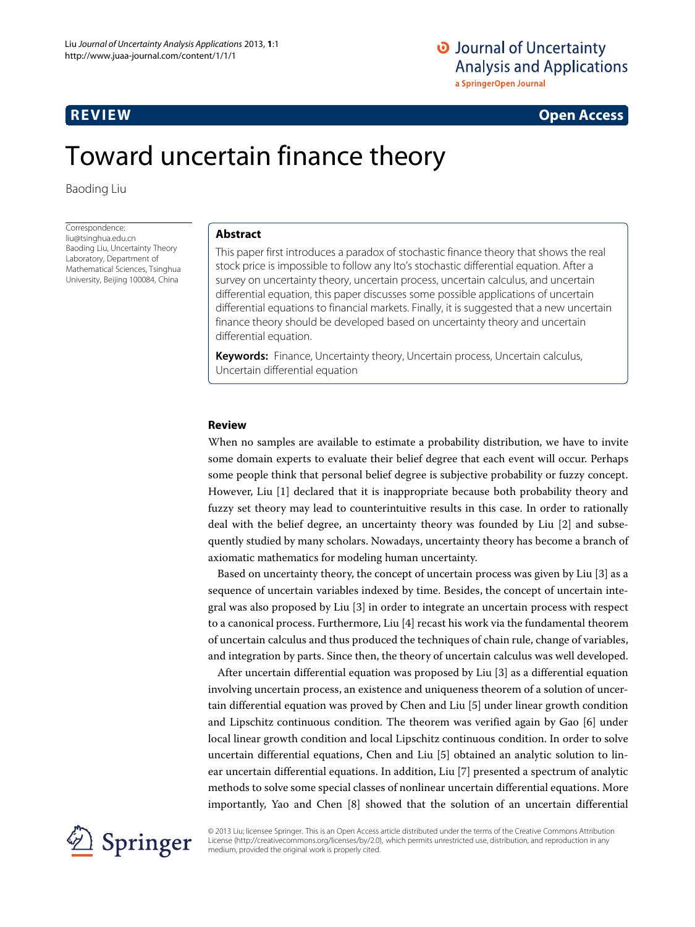# O Journal of Uncertainty **Analysis and Applications** a SpringerOpen Journal

# **REVIEW Open Access**

# Toward uncertain finance theory

Baoding Liu

Correspondence: liu@tsinghua.edu.cn Baoding Liu, Uncertainty Theory Laboratory, Department of Mathematical Sciences, Tsinghua University, Beijing 100084, China

# **Abstract**

This paper first introduces a paradox of stochastic finance theory that shows the real stock price is impossible to follow any Ito's stochastic differential equation. After a survey on uncertainty theory, uncertain process, uncertain calculus, and uncertain differential equation, this paper discusses some possible applications of uncertain differential equations to financial markets. Finally, it is suggested that a new uncertain finance theory should be developed based on uncertainty theory and uncertain differential equation.

**Keywords:** Finance, Uncertainty theory, Uncertain process, Uncertain calculus, Uncertain differential equation

# **Review**

When no samples are available to estimate a probability distribution, we have to invite some domain experts to evaluate their belief degree that each event will occur. Perhaps some people think that personal belief degree is subjective probability or fuzzy concept. However, Liu [\[1\]](#page-13-0) declared that it is inappropriate because both probability theory and fuzzy set theory may lead to counterintuitive results in this case. In order to rationally deal with the belief degree, an uncertainty theory was founded by Liu [\[2\]](#page-13-1) and subsequently studied by many scholars. Nowadays, uncertainty theory has become a branch of axiomatic mathematics for modeling human uncertainty.

Based on uncertainty theory, the concept of uncertain process was given by Liu [\[3\]](#page-13-2) as a sequence of uncertain variables indexed by time. Besides, the concept of uncertain integral was also proposed by Liu [\[3\]](#page-13-2) in order to integrate an uncertain process with respect to a canonical process. Furthermore, Liu [\[4\]](#page-13-3) recast his work via the fundamental theorem of uncertain calculus and thus produced the techniques of chain rule, change of variables, and integration by parts. Since then, the theory of uncertain calculus was well developed.

After uncertain differential equation was proposed by Liu [\[3\]](#page-13-2) as a differential equation involving uncertain process, an existence and uniqueness theorem of a solution of uncertain differential equation was proved by Chen and Liu [\[5\]](#page-13-4) under linear growth condition and Lipschitz continuous condition. The theorem was verified again by Gao [\[6\]](#page-13-5) under local linear growth condition and local Lipschitz continuous condition. In order to solve uncertain differential equations, Chen and Liu [\[5\]](#page-13-4) obtained an analytic solution to linear uncertain differential equations. In addition, Liu [\[7\]](#page-13-6) presented a spectrum of analytic methods to solve some special classes of nonlinear uncertain differential equations. More importantly, Yao and Chen [\[8\]](#page-13-7) showed that the solution of an uncertain differential



© 2013 Liu; licensee Springer. This is an Open Access article distributed under the terms of the Creative Commons Attribution License (http://creativecommons.org/licenses/by/2.0), which permits unrestricted use, distribution, and reproduction in any medium, provided the original work is properly cited.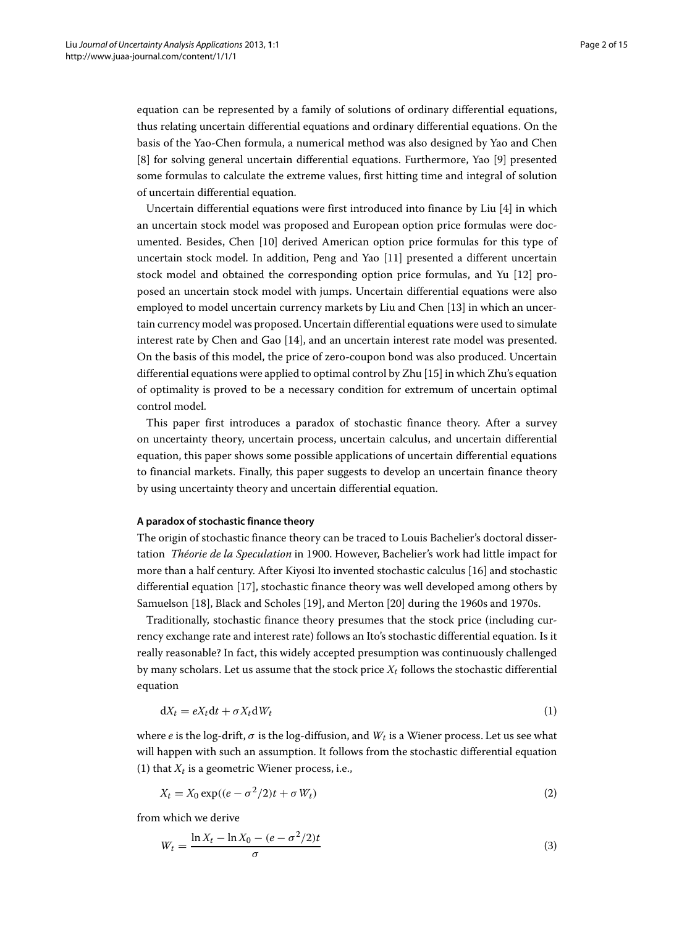equation can be represented by a family of solutions of ordinary differential equations, thus relating uncertain differential equations and ordinary differential equations. On the basis of the Yao-Chen formula, a numerical method was also designed by Yao and Chen [\[8\]](#page-13-7) for solving general uncertain differential equations. Furthermore, Yao [\[9\]](#page-13-8) presented some formulas to calculate the extreme values, first hitting time and integral of solution of uncertain differential equation.

Uncertain differential equations were first introduced into finance by Liu [\[4\]](#page-13-3) in which an uncertain stock model was proposed and European option price formulas were documented. Besides, Chen [\[10\]](#page-13-9) derived American option price formulas for this type of uncertain stock model. In addition, Peng and Yao [\[11\]](#page-13-10) presented a different uncertain stock model and obtained the corresponding option price formulas, and Yu [\[12\]](#page-13-11) proposed an uncertain stock model with jumps. Uncertain differential equations were also employed to model uncertain currency markets by Liu and Chen [\[13\]](#page-13-12) in which an uncertain currency model was proposed. Uncertain differential equations were used to simulate interest rate by Chen and Gao [\[14\]](#page-13-13), and an uncertain interest rate model was presented. On the basis of this model, the price of zero-coupon bond was also produced. Uncertain differential equations were applied to optimal control by Zhu [\[15\]](#page-13-14) in which Zhu's equation of optimality is proved to be a necessary condition for extremum of uncertain optimal control model.

This paper first introduces a paradox of stochastic finance theory. After a survey on uncertainty theory, uncertain process, uncertain calculus, and uncertain differential equation, this paper shows some possible applications of uncertain differential equations to financial markets. Finally, this paper suggests to develop an uncertain finance theory by using uncertainty theory and uncertain differential equation.

#### **A paradox of stochastic finance theory**

The origin of stochastic finance theory can be traced to Louis Bachelier's doctoral dissertation *Théorie de la Speculation* in 1900. However, Bachelier's work had little impact for more than a half century. After Kiyosi Ito invented stochastic calculus [\[16\]](#page-13-15) and stochastic differential equation [\[17\]](#page-13-16), stochastic finance theory was well developed among others by Samuelson [\[18\]](#page-13-17), Black and Scholes [\[19\]](#page-13-18), and Merton [\[20\]](#page-13-19) during the 1960s and 1970s.

Traditionally, stochastic finance theory presumes that the stock price (including currency exchange rate and interest rate) follows an Ito's stochastic differential equation. Is it really reasonable? In fact, this widely accepted presumption was continuously challenged by many scholars. Let us assume that the stock price  $X_t$  follows the stochastic differential equation

<span id="page-1-0"></span>
$$
dX_t = eX_t dt + \sigma X_t dW_t
$$
\n(1)

where *e* is the log-drift,  $\sigma$  is the log-diffusion, and  $W_t$  is a Wiener process. Let us see what will happen with such an assumption. It follows from the stochastic differential equation [\(1\)](#page-1-0) that  $X_t$  is a geometric Wiener process, i.e.,

$$
X_t = X_0 \exp((e - \sigma^2/2)t + \sigma W_t)
$$
\n(2)

from which we derive

$$
W_t = \frac{\ln X_t - \ln X_0 - (e - \sigma^2/2)t}{\sigma} \tag{3}
$$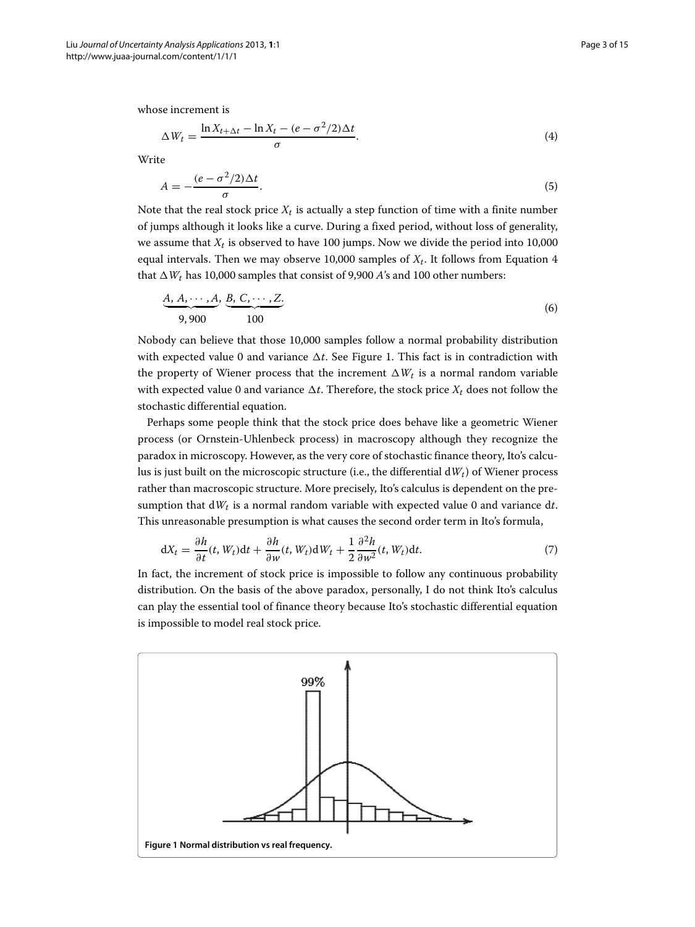whose increment is

<span id="page-2-0"></span>
$$
\Delta W_t = \frac{\ln X_{t+\Delta t} - \ln X_t - (e - \sigma^2/2)\Delta t}{\sigma}.
$$
\n(4)

Write

$$
A = -\frac{(e - \sigma^2/2)\Delta t}{\sigma}.\tag{5}
$$

Note that the real stock price  $X_t$  is actually a step function of time with a finite number of jumps although it looks like a curve. During a fixed period, without loss of generality, we assume that  $X_t$  is observed to have 100 jumps. Now we divide the period into 10,000 equal intervals. Then we may observe 10,000 samples of  $X_t$ . It follows from Equation [4](#page-2-0) that  $\Delta W_t$  has 10,000 samples that consist of 9,900 *A*'s and 100 other numbers:

$$
\underbrace{A, A, \cdots, A}_{9,900}, \underbrace{B, C, \cdots, Z}_{100}
$$
\n(6)

Nobody can believe that those 10,000 samples follow a normal probability distribution with expected value 0 and variance  $\Delta t$ . See Figure [1.](#page-2-1) This fact is in contradiction with the property of Wiener process that the increment  $\Delta W_t$  is a normal random variable with expected value 0 and variance  $\Delta t$ . Therefore, the stock price  $X_t$  does not follow the stochastic differential equation.

Perhaps some people think that the stock price does behave like a geometric Wiener process (or Ornstein-Uhlenbeck process) in macroscopy although they recognize the paradox in microscopy. However, as the very core of stochastic finance theory, Ito's calculus is just built on the microscopic structure (i.e., the differential d*Wt*) of Wiener process rather than macroscopic structure. More precisely, Ito's calculus is dependent on the presumption that  $dW_t$  is a normal random variable with expected value 0 and variance dt. This unreasonable presumption is what causes the second order term in Ito's formula,

$$
dX_t = \frac{\partial h}{\partial t}(t, W_t)dt + \frac{\partial h}{\partial w}(t, W_t) dW_t + \frac{1}{2} \frac{\partial^2 h}{\partial w^2}(t, W_t) dt.
$$
 (7)

In fact, the increment of stock price is impossible to follow any continuous probability distribution. On the basis of the above paradox, personally, I do not think Ito's calculus can play the essential tool of finance theory because Ito's stochastic differential equation is impossible to model real stock price.

<span id="page-2-1"></span>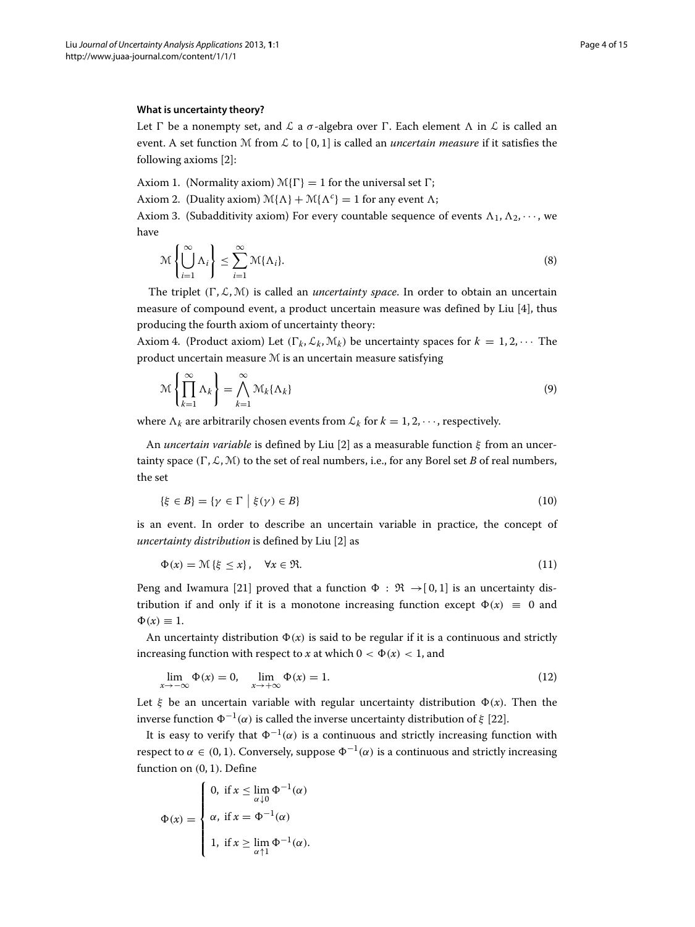#### **What is uncertainty theory?**

Let  $\Gamma$  be a nonempty set, and  $\mathcal L$  a  $\sigma$ -algebra over  $\Gamma$ . Each element  $\Lambda$  in  $\mathcal L$  is called an event. A set function M from  $\mathcal L$  to  $[0,1]$  is called an *uncertain measure* if it satisfies the following axioms [\[2\]](#page-13-1):

Axiom 1. (Normality axiom)  $\mathcal{M}\{\Gamma\} = 1$  for the universal set  $\Gamma$ ;

Axiom 2. (Duality axiom)  $\mathcal{M}\{\Lambda\} + \mathcal{M}\{\Lambda^c\} = 1$  for any event  $\Lambda$ ;

Axiom 3. (Subadditivity axiom) For every countable sequence of events  $\Lambda_1, \Lambda_2, \cdots$ , we have

$$
\mathcal{M}\left\{\bigcup_{i=1}^{\infty}\Lambda_{i}\right\} \leq \sum_{i=1}^{\infty}\mathcal{M}\{\Lambda_{i}\}.
$$
\n(8)

The triplet  $(\Gamma, \mathcal{L}, \mathcal{M})$  is called an *uncertainty space*. In order to obtain an uncertain measure of compound event, a product uncertain measure was defined by Liu [\[4\]](#page-13-3), thus producing the fourth axiom of uncertainty theory:

Axiom 4. (Product axiom) Let  $(\Gamma_k, \mathcal{L}_k, \mathcal{M}_k)$  be uncertainty spaces for  $k = 1, 2, \cdots$  The product uncertain measure M is an uncertain measure satisfying

$$
\mathcal{M}\left\{\prod_{k=1}^{\infty}\Lambda_k\right\} = \bigwedge_{k=1}^{\infty}\mathcal{M}_k\{\Lambda_k\}
$$
\n(9)

where  $\Lambda_k$  are arbitrarily chosen events from  $\mathcal{L}_k$  for  $k = 1, 2, \cdots$ , respectively.

An *uncertain variable* is defined by Liu [\[2\]](#page-13-1) as a measurable function ξ from an uncertainty space  $(\Gamma, \mathcal{L}, \mathcal{M})$  to the set of real numbers, i.e., for any Borel set *B* of real numbers, the set

$$
\{\xi \in B\} = \{\gamma \in \Gamma \mid \xi(\gamma) \in B\}
$$
\n<sup>(10)</sup>

is an event. In order to describe an uncertain variable in practice, the concept of *uncertainty distribution* is defined by Liu [\[2\]](#page-13-1) as

$$
\Phi(x) = \mathcal{M}\left\{\xi \le x\right\}, \quad \forall x \in \mathfrak{R}.\tag{11}
$$

Peng and Iwamura [\[21\]](#page-13-20) proved that a function  $\Phi : \mathfrak{R} \to [0, 1]$  is an uncertainty distribution if and only if it is a monotone increasing function except  $\Phi(x) \equiv 0$  and  $\Phi(x) \equiv 1.$ 

An uncertainty distribution  $\Phi(x)$  is said to be regular if it is a continuous and strictly increasing function with respect to *x* at which  $0 < \Phi(x) < 1$ , and

$$
\lim_{x \to -\infty} \Phi(x) = 0, \quad \lim_{x \to +\infty} \Phi(x) = 1.
$$
\n(12)

Let  $\xi$  be an uncertain variable with regular uncertainty distribution  $\Phi(x)$ . Then the inverse function  $\Phi^{-1}(\alpha)$  is called the inverse uncertainty distribution of ξ [\[22\]](#page-13-21).

It is easy to verify that  $\Phi^{-1}(\alpha)$  is a continuous and strictly increasing function with respect to  $\alpha \in (0, 1)$ . Conversely, suppose  $\Phi^{-1}(\alpha)$  is a continuous and strictly increasing function on (0, 1). Define

$$
\Phi(x) = \begin{cases}\n0, & \text{if } x \leq \lim_{\alpha \downarrow 0} \Phi^{-1}(\alpha) \\
\alpha, & \text{if } x = \Phi^{-1}(\alpha) \\
1, & \text{if } x \geq \lim_{\alpha \uparrow 1} \Phi^{-1}(\alpha).\n\end{cases}
$$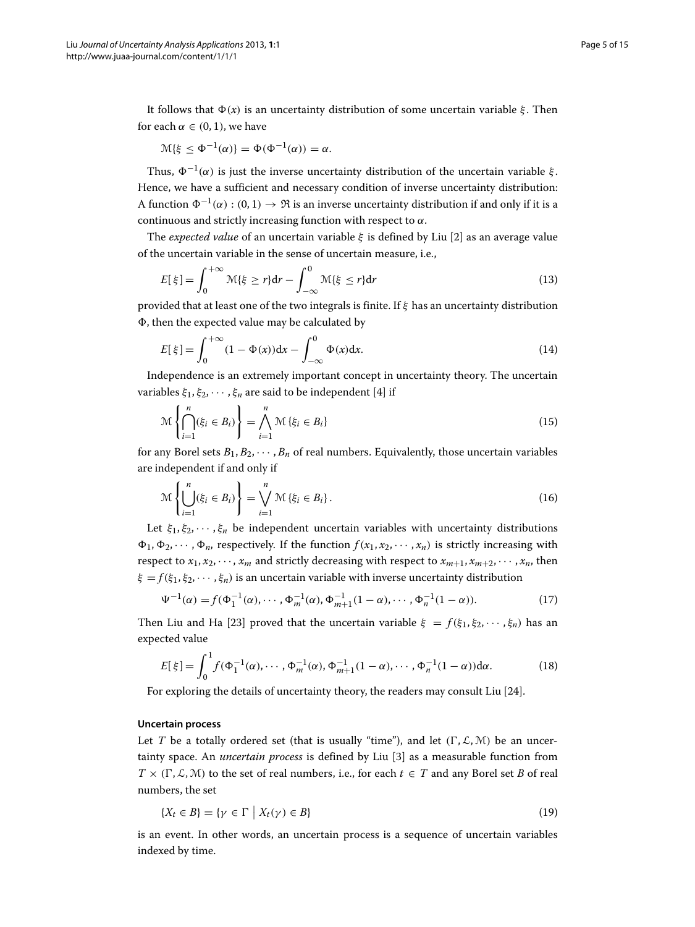$$
\mathcal{M}{\xi \leq \Phi^{-1}(\alpha)} = \Phi(\Phi^{-1}(\alpha)) = \alpha.
$$

Thus,  $\Phi^{-1}(\alpha)$  is just the inverse uncertainty distribution of the uncertain variable  $\xi$ . Hence, we have a sufficient and necessary condition of inverse uncertainty distribution: A function  $\Phi^{-1}(\alpha) : (0,1) \to \Re$  is an inverse uncertainty distribution if and only if it is a continuous and strictly increasing function with respect to  $\alpha$ .

The *expected value* of an uncertain variable ξ is defined by Liu [\[2\]](#page-13-1) as an average value of the uncertain variable in the sense of uncertain measure, i.e.,

$$
E[\xi] = \int_0^{+\infty} \mathcal{M}\{\xi \ge r\} dr - \int_{-\infty}^0 \mathcal{M}\{\xi \le r\} dr \tag{13}
$$

provided that at least one of the two integrals is finite. If ξ has an uncertainty distribution , then the expected value may be calculated by

$$
E[\xi] = \int_0^{+\infty} (1 - \Phi(x)) dx - \int_{-\infty}^0 \Phi(x) dx.
$$
 (14)

Independence is an extremely important concept in uncertainty theory. The uncertain variables  $\xi_1, \xi_2, \cdots, \xi_n$  are said to be independent [\[4\]](#page-13-3) if

$$
\mathcal{M}\left\{\bigcap_{i=1}^{n}(\xi_{i}\in B_{i})\right\}=\bigwedge_{i=1}^{n}\mathcal{M}\left\{\xi_{i}\in B_{i}\right\}\tag{15}
$$

for any Borel sets  $B_1, B_2, \cdots, B_n$  of real numbers. Equivalently, those uncertain variables are independent if and only if

$$
\mathcal{M}\left\{\bigcup_{i=1}^{n}(\xi_{i}\in B_{i})\right\}=\bigvee_{i=1}^{n}\mathcal{M}\left\{\xi_{i}\in B_{i}\right\}.
$$
\n(16)

Let  $\xi_1, \xi_2, \dots, \xi_n$  be independent uncertain variables with uncertainty distributions  $\Phi_1, \Phi_2, \cdots, \Phi_n$ , respectively. If the function  $f(x_1, x_2, \cdots, x_n)$  is strictly increasing with respect to  $x_1, x_2, \dots, x_m$  and strictly decreasing with respect to  $x_{m+1}, x_{m+2}, \dots, x_n$ , then  $\xi = f(\xi_1, \xi_2, \dots, \xi_n)$  is an uncertain variable with inverse uncertainty distribution

$$
\Psi^{-1}(\alpha) = f(\Phi_1^{-1}(\alpha), \cdots, \Phi_m^{-1}(\alpha), \Phi_{m+1}^{-1}(1-\alpha), \cdots, \Phi_n^{-1}(1-\alpha)).
$$
\n(17)

Then Liu and Ha [\[23\]](#page-13-22) proved that the uncertain variable  $\xi = f(\xi_1, \xi_2, \dots, \xi_n)$  has an expected value

$$
E[\xi] = \int_0^1 f(\Phi_1^{-1}(\alpha), \cdots, \Phi_m^{-1}(\alpha), \Phi_{m+1}^{-1}(1-\alpha), \cdots, \Phi_n^{-1}(1-\alpha)) d\alpha.
$$
 (18)

For exploring the details of uncertainty theory, the readers may consult Liu [\[24\]](#page-13-23).

### **Uncertain process**

Let *T* be a totally ordered set (that is usually "time"), and let  $(\Gamma, \mathcal{L}, \mathcal{M})$  be an uncertainty space. An *uncertain process* is defined by Liu [\[3\]](#page-13-2) as a measurable function from  $T \times (\Gamma, \mathcal{L}, \mathcal{M})$  to the set of real numbers, i.e., for each  $t \in T$  and any Borel set *B* of real numbers, the set

$$
\{X_t \in B\} = \{ \gamma \in \Gamma \mid X_t(\gamma) \in B \}
$$
\n<sup>(19)</sup>

is an event. In other words, an uncertain process is a sequence of uncertain variables indexed by time.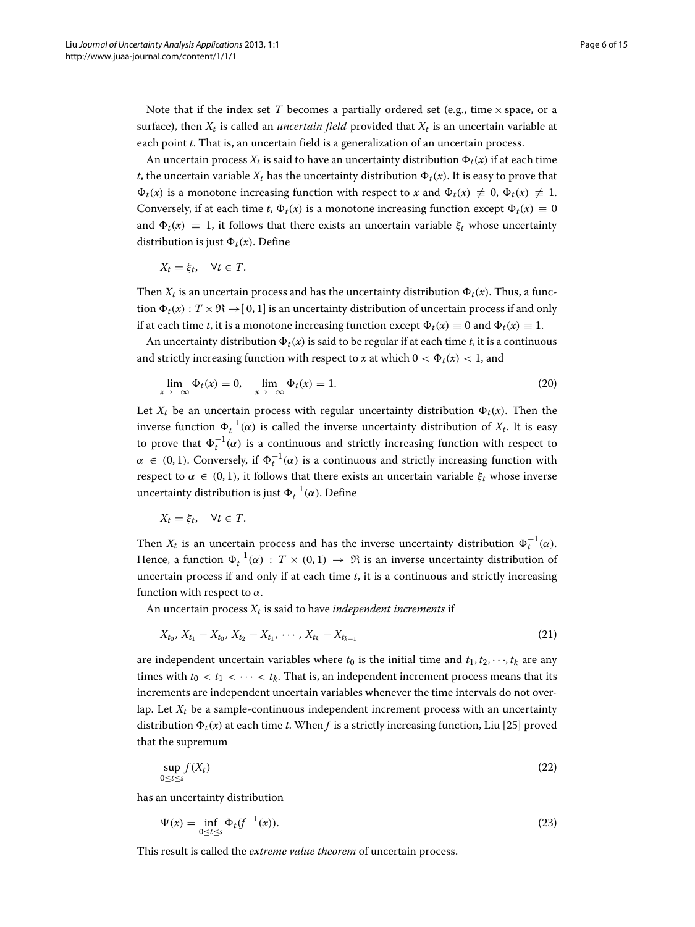Note that if the index set  $T$  becomes a partially ordered set (e.g., time  $\times$  space, or a surface), then  $X_t$  is called an *uncertain field* provided that  $X_t$  is an uncertain variable at each point *t*. That is, an uncertain field is a generalization of an uncertain process.

An uncertain process  $X_t$  is said to have an uncertainty distribution  $\Phi_t(x)$  if at each time *t*, the uncertain variable  $X_t$  has the uncertainty distribution  $\Phi_t(x)$ . It is easy to prove that  $\Phi_t(x)$  is a monotone increasing function with respect to *x* and  $\Phi_t(x) \neq 0$ ,  $\Phi_t(x) \neq 1$ . Conversely, if at each time *t*,  $\Phi_t(x)$  is a monotone increasing function except  $\Phi_t(x) \equiv 0$ and  $\Phi_t(x) \equiv 1$ , it follows that there exists an uncertain variable  $\xi_t$  whose uncertainty distribution is just  $\Phi_t(x)$ . Define

$$
X_t = \xi_t, \quad \forall t \in T.
$$

Then  $X_t$  is an uncertain process and has the uncertainty distribution  $\Phi_t(x)$ . Thus, a function  $\Phi_t(x)$ :  $T \times \mathfrak{R} \to [0, 1]$  is an uncertainty distribution of uncertain process if and only if at each time *t*, it is a monotone increasing function except  $\Phi_t(x) \equiv 0$  and  $\Phi_t(x) \equiv 1$ .

An uncertainty distribution  $\Phi_t(x)$  is said to be regular if at each time *t*, it is a continuous and strictly increasing function with respect to *x* at which  $0 < \Phi_t(x) < 1$ , and

$$
\lim_{x \to -\infty} \Phi_t(x) = 0, \quad \lim_{x \to +\infty} \Phi_t(x) = 1.
$$
\n(20)

Let  $X_t$  be an uncertain process with regular uncertainty distribution  $\Phi_t(x)$ . Then the inverse function  $Φ_t^{-1}(α)$  is called the inverse uncertainty distribution of  $X_t$ . It is easy to prove that  $\Phi_t^{-1}(\alpha)$  is a continuous and strictly increasing function with respect to  $\alpha \in (0,1)$ . Conversely, if  $\Phi_t^{-1}(\alpha)$  is a continuous and strictly increasing function with respect to  $\alpha \in (0, 1)$ , it follows that there exists an uncertain variable  $\xi_t$  whose inverse uncertainty distribution is just  $\Phi_t^{-1}(\alpha)$ . Define

$$
X_t = \xi_t, \quad \forall t \in T.
$$

Then  $X_t$  is an uncertain process and has the inverse uncertainty distribution  $\Phi_t^{-1}(\alpha)$ . Hence, a function  $\Phi_t^{-1}(\alpha)$  :  $T \times (0,1) \to \Re$  is an inverse uncertainty distribution of uncertain process if and only if at each time *t*, it is a continuous and strictly increasing function with respect to  $\alpha$ .

An uncertain process  $X_t$  is said to have *independent increments* if

$$
X_{t_0}, X_{t_1} - X_{t_0}, X_{t_2} - X_{t_1}, \cdots, X_{t_k} - X_{t_{k-1}}
$$
\n
$$
(21)
$$

are independent uncertain variables where  $t_0$  is the initial time and  $t_1, t_2, \dots, t_k$  are any times with  $t_0 < t_1 < \cdots < t_k$ . That is, an independent increment process means that its increments are independent uncertain variables whenever the time intervals do not overlap. Let  $X_t$  be a sample-continuous independent increment process with an uncertainty distribution  $\Phi_t(x)$  at each time *t*. When *f* is a strictly increasing function, Liu [\[25\]](#page-14-0) proved that the supremum

$$
\sup_{0 \le t \le s} f(X_t) \tag{22}
$$

has an uncertainty distribution

$$
\Psi(x) = \inf_{0 \le t \le s} \Phi_t(f^{-1}(x)).
$$
\n(23)

This result is called the *extreme value theorem* of uncertain process.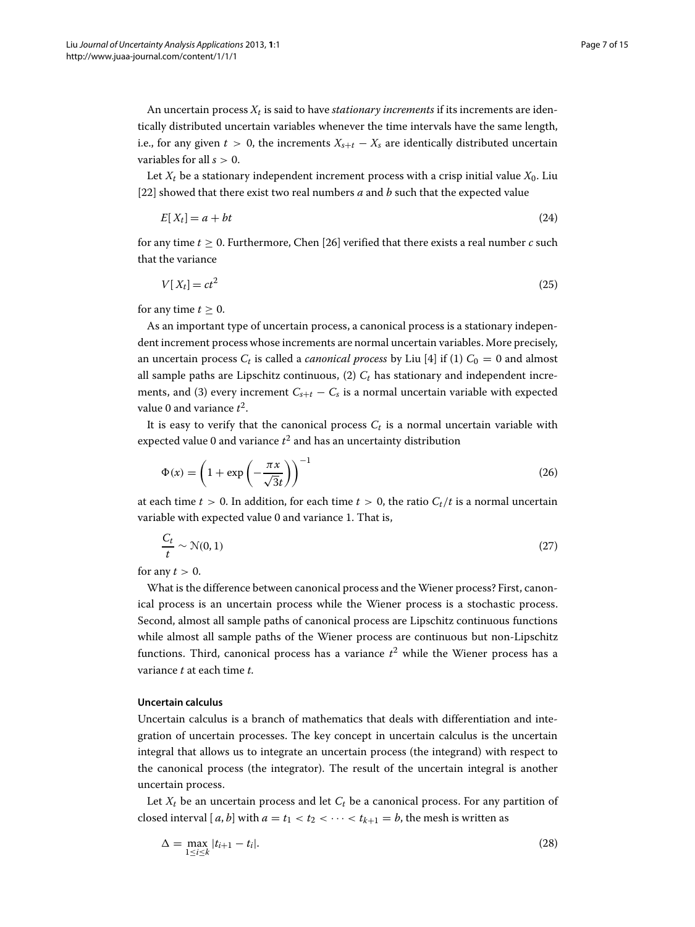An uncertain process  $X_t$  is said to have *stationary increments* if its increments are identically distributed uncertain variables whenever the time intervals have the same length, i.e., for any given  $t > 0$ , the increments  $X_{s+t} - X_s$  are identically distributed uncertain variables for all *s* > 0.

Let  $X_t$  be a stationary independent increment process with a crisp initial value  $X_0$ . Liu [\[22\]](#page-13-21) showed that there exist two real numbers *a* and *b* such that the expected value

$$
E[X_t] = a + bt \tag{24}
$$

for any time *t* ≥ 0. Furthermore, Chen [\[26\]](#page-14-1) verified that there exists a real number *c* such that the variance

$$
V[X_t] = ct^2 \tag{25}
$$

for any time  $t \geq 0$ .

As an important type of uncertain process, a canonical process is a stationary independent increment process whose increments are normal uncertain variables. More precisely, an uncertain process  $C_t$  is called a *canonical process* by Liu [\[4\]](#page-13-3) if (1)  $C_0 = 0$  and almost all sample paths are Lipschitz continuous,  $(2)$   $C_t$  has stationary and independent increments, and (3) every increment  $C_{s+t} - C_s$  is a normal uncertain variable with expected value 0 and variance *t*2.

It is easy to verify that the canonical process  $C_t$  is a normal uncertain variable with expected value 0 and variance  $t^2$  and has an uncertainty distribution

$$
\Phi(x) = \left(1 + \exp\left(-\frac{\pi x}{\sqrt{3}t}\right)\right)^{-1} \tag{26}
$$

at each time  $t > 0$ . In addition, for each time  $t > 0$ , the ratio  $C_t/t$  is a normal uncertain variable with expected value 0 and variance 1. That is,

$$
\frac{C_t}{t} \sim \mathcal{N}(0, 1) \tag{27}
$$

for any  $t > 0$ .

What is the difference between canonical process and the Wiener process? First, canonical process is an uncertain process while the Wiener process is a stochastic process. Second, almost all sample paths of canonical process are Lipschitz continuous functions while almost all sample paths of the Wiener process are continuous but non-Lipschitz functions. Third, canonical process has a variance  $t^2$  while the Wiener process has a variance *t* at each time *t*.

# **Uncertain calculus**

Uncertain calculus is a branch of mathematics that deals with differentiation and integration of uncertain processes. The key concept in uncertain calculus is the uncertain integral that allows us to integrate an uncertain process (the integrand) with respect to the canonical process (the integrator). The result of the uncertain integral is another uncertain process.

Let  $X_t$  be an uncertain process and let  $C_t$  be a canonical process. For any partition of closed interval [ $a$ ,  $b$ ] with  $a = t_1 < t_2 < \cdots < t_{k+1} = b$ , the mesh is written as

$$
\Delta = \max_{1 \le i \le k} |t_{i+1} - t_i|.
$$
\n(28)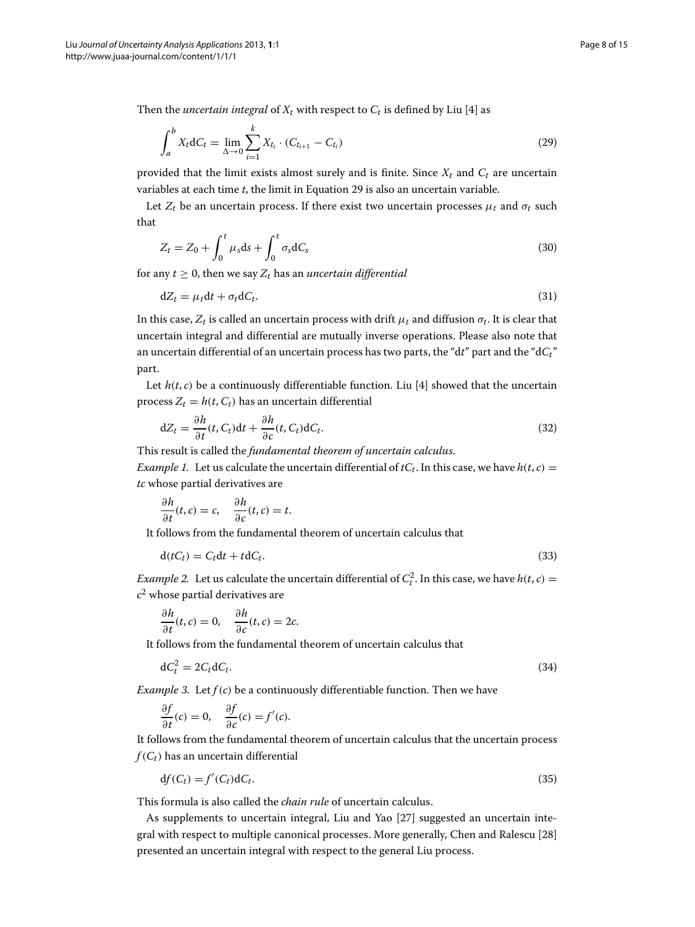Then the *uncertain integral* of  $X_t$  with respect to  $C_t$  is defined by Liu [\[4\]](#page-13-3) as

<span id="page-7-0"></span>
$$
\int_{a}^{b} X_{t} dC_{t} = \lim_{\Delta \to 0} \sum_{i=1}^{k} X_{t_{i}} \cdot (C_{t_{i+1}} - C_{t_{i}})
$$
\n(29)

provided that the limit exists almost surely and is finite. Since  $X_t$  and  $C_t$  are uncertain variables at each time *t*, the limit in Equation [29](#page-7-0) is also an uncertain variable.

Let  $Z_t$  be an uncertain process. If there exist two uncertain processes  $\mu_t$  and  $\sigma_t$  such that

$$
Z_t = Z_0 + \int_0^t \mu_s \mathrm{d}s + \int_0^t \sigma_s \mathrm{d}C_s \tag{30}
$$

for any  $t \geq 0$ , then we say  $Z_t$  has an *uncertain differential* 

$$
dZ_t = \mu_t dt + \sigma_t dC_t. \tag{31}
$$

In this case,  $Z_t$  is called an uncertain process with drift  $\mu_t$  and diffusion  $\sigma_t$ . It is clear that uncertain integral and differential are mutually inverse operations. Please also note that an uncertain differential of an uncertain process has two parts, the "d*t*" part and the "d*Ct*" part.

Let  $h(t, c)$  be a continuously differentiable function. Liu [\[4\]](#page-13-3) showed that the uncertain process  $Z_t = h(t, C_t)$  has an uncertain differential

$$
dZ_t = \frac{\partial h}{\partial t}(t, C_t)dt + \frac{\partial h}{\partial c}(t, C_t)dC_t.
$$
\n(32)

This result is called the *fundamental theorem of uncertain calculus*.

*Example 1.* Let us calculate the uncertain differential of  $tC_t$ . In this case, we have  $h(t, c)$  = *tc* whose partial derivatives are

$$
\frac{\partial h}{\partial t}(t,c) = c, \quad \frac{\partial h}{\partial c}(t,c) = t.
$$

It follows from the fundamental theorem of uncertain calculus that

$$
d(tC_t) = C_t dt + t dC_t.
$$
\n(33)

*Example 2.* Let us calculate the uncertain differential of  $C_t^2$ . In this case, we have  $h(t, c) =$ *c*<sup>2</sup> whose partial derivatives are

$$
\frac{\partial h}{\partial t}(t, c) = 0, \quad \frac{\partial h}{\partial c}(t, c) = 2c.
$$

It follows from the fundamental theorem of uncertain calculus that

$$
dC_t^2 = 2C_t dC_t. \tag{34}
$$

*Example 3.* Let  $f(c)$  be a continuously differentiable function. Then we have

$$
\frac{\partial f}{\partial t}(c) = 0, \quad \frac{\partial f}{\partial c}(c) = f'(c).
$$

It follows from the fundamental theorem of uncertain calculus that the uncertain process  $f(C_t)$  has an uncertain differential

$$
df(C_t) = f'(C_t) dC_t.
$$
\n(35)

This formula is also called the *chain rule* of uncertain calculus.

As supplements to uncertain integral, Liu and Yao [\[27\]](#page-14-2) suggested an uncertain integral with respect to multiple canonical processes. More generally, Chen and Ralescu [\[28\]](#page-14-3) presented an uncertain integral with respect to the general Liu process.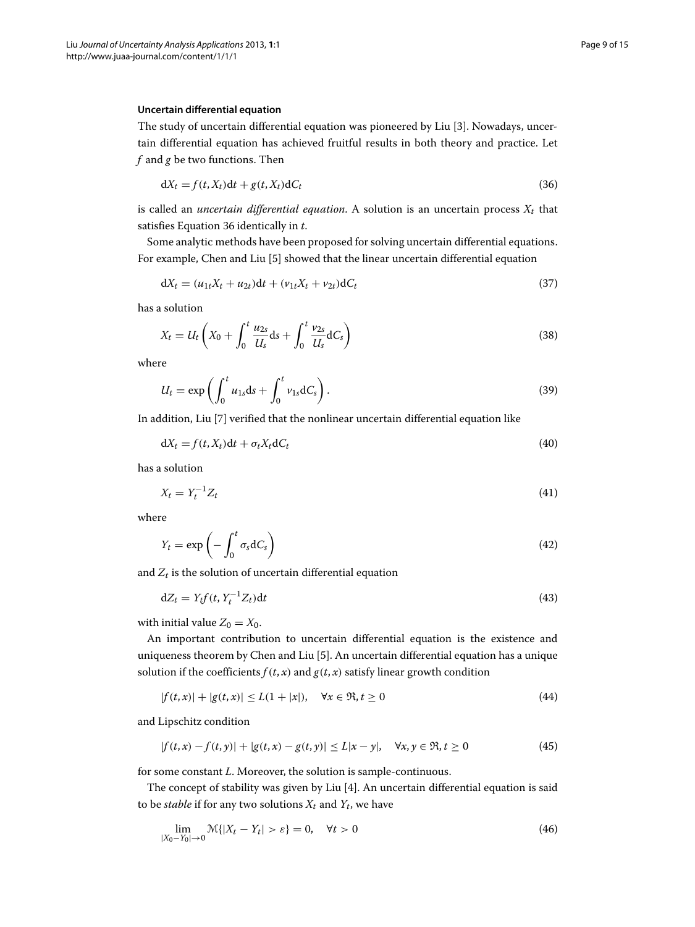#### **Uncertain differential equation**

The study of uncertain differential equation was pioneered by Liu [\[3\]](#page-13-2). Nowadays, uncertain differential equation has achieved fruitful results in both theory and practice. Let *f* and *g* be two functions. Then

<span id="page-8-0"></span>
$$
dX_t = f(t, X_t)dt + g(t, X_t)dC_t
$$
\n(36)

is called an *uncertain differential equation*. A solution is an uncertain process  $X_t$  that satisfies Equation [36](#page-8-0) identically in *t*.

Some analytic methods have been proposed for solving uncertain differential equations. For example, Chen and Liu [\[5\]](#page-13-4) showed that the linear uncertain differential equation

$$
dX_t = (u_{1t}X_t + u_{2t})dt + (v_{1t}X_t + v_{2t})dC_t
$$
\n(37)

has a solution

$$
X_t = U_t \left(X_0 + \int_0^t \frac{u_{2s}}{U_s} ds + \int_0^t \frac{v_{2s}}{U_s} dC_s\right)
$$
\n(38)

where

$$
U_t = \exp\left(\int_0^t u_{1s} ds + \int_0^t v_{1s} dC_s\right).
$$
\n(39)

In addition, Liu [\[7\]](#page-13-6) verified that the nonlinear uncertain differential equation like

$$
dX_t = f(t, X_t)dt + \sigma_t X_t dC_t
$$
\n(40)

has a solution

$$
X_t = Y_t^{-1} Z_t \tag{41}
$$

where

$$
Y_t = \exp\left(-\int_0^t \sigma_s dC_s\right) \tag{42}
$$

and  $Z_t$  is the solution of uncertain differential equation

$$
dZ_t = Y_t f(t, Y_t^{-1} Z_t) dt
$$
\n(43)

with initial value  $Z_0 = X_0$ .

An important contribution to uncertain differential equation is the existence and uniqueness theorem by Chen and Liu [\[5\]](#page-13-4). An uncertain differential equation has a unique solution if the coefficients  $f(t, x)$  and  $g(t, x)$  satisfy linear growth condition

$$
|f(t,x)| + |g(t,x)| \le L(1+|x|), \quad \forall x \in \mathfrak{R}, t \ge 0
$$
\n
$$
(44)
$$

and Lipschitz condition

$$
|f(t,x) - f(t,y)| + |g(t,x) - g(t,y)| \le L|x - y|, \quad \forall x, y \in \mathfrak{R}, t \ge 0
$$
 (45)

for some constant *L*. Moreover, the solution is sample-continuous.

The concept of stability was given by Liu [\[4\]](#page-13-3). An uncertain differential equation is said to be *stable* if for any two solutions  $X_t$  and  $Y_t$ , we have

$$
\lim_{|X_0 - Y_0| \to 0} \mathcal{M}\{|X_t - Y_t| > \varepsilon\} = 0, \quad \forall t > 0
$$
\n
$$
(46)
$$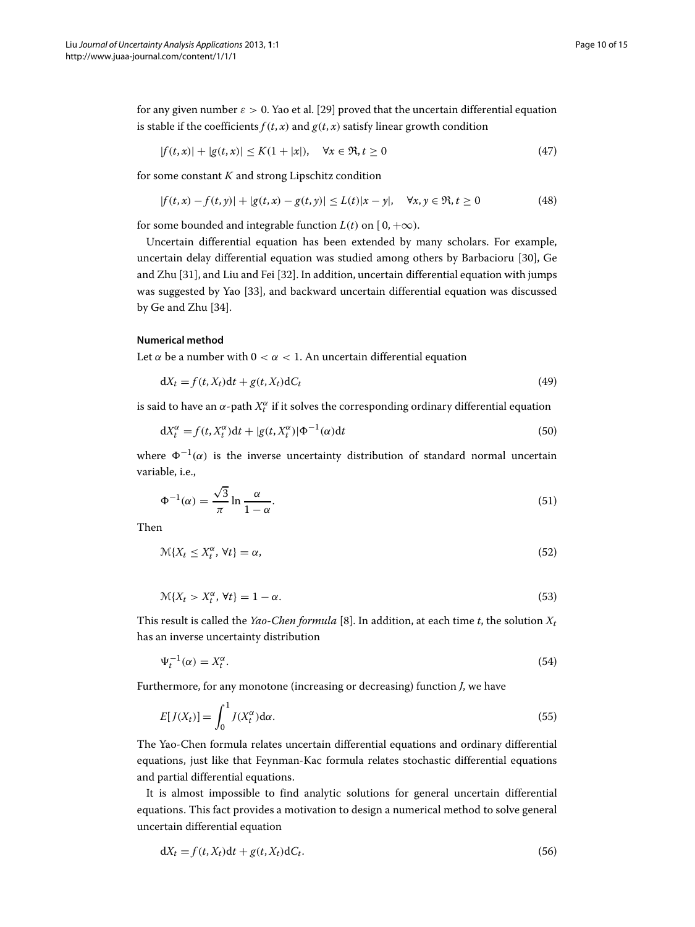for any given number  $\varepsilon > 0$ . Yao et al. [\[29\]](#page-14-4) proved that the uncertain differential equation is stable if the coefficients  $f(t, x)$  and  $g(t, x)$  satisfy linear growth condition

$$
|f(t,x)| + |g(t,x)| \le K(1+|x|), \quad \forall x \in \mathfrak{R}, t \ge 0
$$
\n(47)

for some constant *K* and strong Lipschitz condition

$$
|f(t,x) - f(t,y)| + |g(t,x) - g(t,y)| \le L(t)|x - y|, \quad \forall x, y \in \mathfrak{R}, t \ge 0
$$
 (48)

for some bounded and integrable function  $L(t)$  on  $[0, +\infty)$ .

Uncertain differential equation has been extended by many scholars. For example, uncertain delay differential equation was studied among others by Barbacioru [\[30\]](#page-14-5), Ge and Zhu [\[31\]](#page-14-6), and Liu and Fei [\[32\]](#page-14-7). In addition, uncertain differential equation with jumps was suggested by Yao [\[33\]](#page-14-8), and backward uncertain differential equation was discussed by Ge and Zhu [\[34\]](#page-14-9).

#### **Numerical method**

Let  $\alpha$  be a number with  $0 < \alpha < 1$ . An uncertain differential equation

$$
dX_t = f(t, X_t)dt + g(t, X_t)dC_t
$$
\n(49)

is said to have an  $\alpha$ -path  $X_t^{\alpha}$  if it solves the corresponding ordinary differential equation

$$
dX_t^{\alpha} = f(t, X_t^{\alpha})dt + |g(t, X_t^{\alpha})| \Phi^{-1}(\alpha)dt
$$
\n(50)

where  $\Phi^{-1}(\alpha)$  is the inverse uncertainty distribution of standard normal uncertain variable, i.e.,

$$
\Phi^{-1}(\alpha) = \frac{\sqrt{3}}{\pi} \ln \frac{\alpha}{1 - \alpha}.\tag{51}
$$

Then

$$
\mathcal{M}\{X_t \le X_t^\alpha, \forall t\} = \alpha,\tag{52}
$$

$$
\mathcal{M}\{X_t > X_t^{\alpha}, \forall t\} = 1 - \alpha. \tag{53}
$$

This result is called the *Yao-Chen formula* [\[8\]](#page-13-7). In addition, at each time *t*, the solution *Xt* has an inverse uncertainty distribution

$$
\Psi_t^{-1}(\alpha) = X_t^{\alpha}.\tag{54}
$$

Furthermore, for any monotone (increasing or decreasing) function *J*, we have

$$
E[J(X_t)] = \int_0^1 J(X_t^{\alpha}) d\alpha.
$$
\n(55)

The Yao-Chen formula relates uncertain differential equations and ordinary differential equations, just like that Feynman-Kac formula relates stochastic differential equations and partial differential equations.

It is almost impossible to find analytic solutions for general uncertain differential equations. This fact provides a motivation to design a numerical method to solve general uncertain differential equation

$$
dX_t = f(t, X_t)dt + g(t, X_t)dC_t.
$$
\n(56)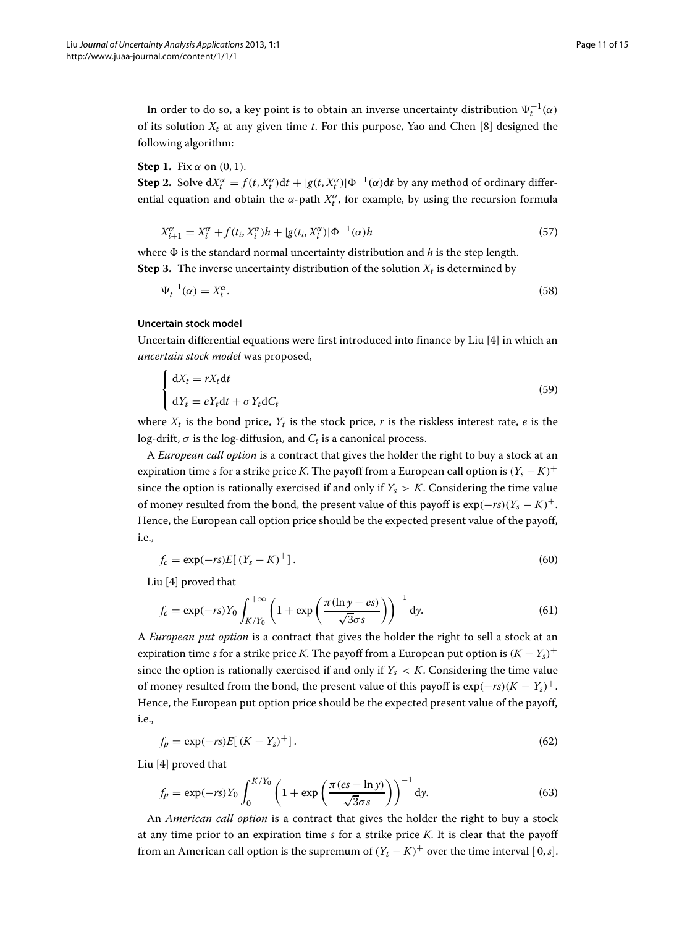In order to do so, a key point is to obtain an inverse uncertainty distribution  $\Psi_t^{-1}(\alpha)$ of its solution  $X_t$  at any given time  $t$ . For this purpose, Yao and Chen [\[8\]](#page-13-7) designed the following algorithm:

#### **Step 1.** Fix  $\alpha$  on  $(0, 1)$ .

**Step 2.** Solve  $dX_t^{\alpha} = f(t, X_t^{\alpha})dt + |g(t, X_t^{\alpha})| \Phi^{-1}(\alpha)dt$  by any method of ordinary differential equation and obtain the  $\alpha$ -path  $X_t^{\alpha}$ , for example, by using the recursion formula

$$
X_{i+1}^{\alpha} = X_i^{\alpha} + f(t_i, X_i^{\alpha})h + |g(t_i, X_i^{\alpha})| \Phi^{-1}(\alpha)h
$$
\n
$$
(57)
$$

where  $\Phi$  is the standard normal uncertainty distribution and *h* is the step length. **Step 3.** The inverse uncertainty distribution of the solution  $X_t$  is determined by

$$
\Psi_t^{-1}(\alpha) = X_t^{\alpha}.\tag{58}
$$

#### **Uncertain stock model**

Uncertain differential equations were first introduced into finance by Liu [\[4\]](#page-13-3) in which an *uncertain stock model* was proposed,

$$
\begin{cases} dX_t = rX_t dt \\ dY_t = eY_t dt + \sigma Y_t dC_t \end{cases}
$$
\n(59)

where  $X_t$  is the bond price,  $Y_t$  is the stock price, *r* is the riskless interest rate, *e* is the log-drift,  $\sigma$  is the log-diffusion, and  $C_t$  is a canonical process.

A *European call option* is a contract that gives the holder the right to buy a stock at an expiration time *s* for a strike price *K*. The payoff from a European call option is  $(Y_s - K)^+$ since the option is rationally exercised if and only if  $Y_s > K$ . Considering the time value of money resulted from the bond, the present value of this payoff is  $\exp(-rs)(Y_s - K)^+$ . Hence, the European call option price should be the expected present value of the payoff, i.e.,

$$
f_c = \exp(-rs)E[(Y_s - K)^+] \tag{60}
$$

Liu [\[4\]](#page-13-3) proved that

$$
f_c = \exp(-rs)Y_0 \int_{K/Y_0}^{+\infty} \left(1 + \exp\left(\frac{\pi(\ln y - es)}{\sqrt{3}\sigma s}\right)\right)^{-1} dy.
$$
 (61)

A *European put option* is a contract that gives the holder the right to sell a stock at an expiration time *s* for a strike price *K*. The payoff from a European put option is  $(K - Y_s)^+$ since the option is rationally exercised if and only if  $Y_s < K$ . Considering the time value of money resulted from the bond, the present value of this payoff is  $\exp(-rs)(K - Y_s)^+$ . Hence, the European put option price should be the expected present value of the payoff, i.e.,

$$
f_p = \exp(-rs)E[(K - Y_s)^+] \,. \tag{62}
$$

Liu [\[4\]](#page-13-3) proved that

$$
f_p = \exp(-rs)Y_0 \int_0^{K/Y_0} \left(1 + \exp\left(\frac{\pi (es - \ln y)}{\sqrt{3}\sigma s}\right)\right)^{-1} dy.
$$
 (63)

An *American call option* is a contract that gives the holder the right to buy a stock at any time prior to an expiration time *s* for a strike price *K*. It is clear that the payoff from an American call option is the supremum of  $(Y_t - K)^+$  over the time interval [0, *s*].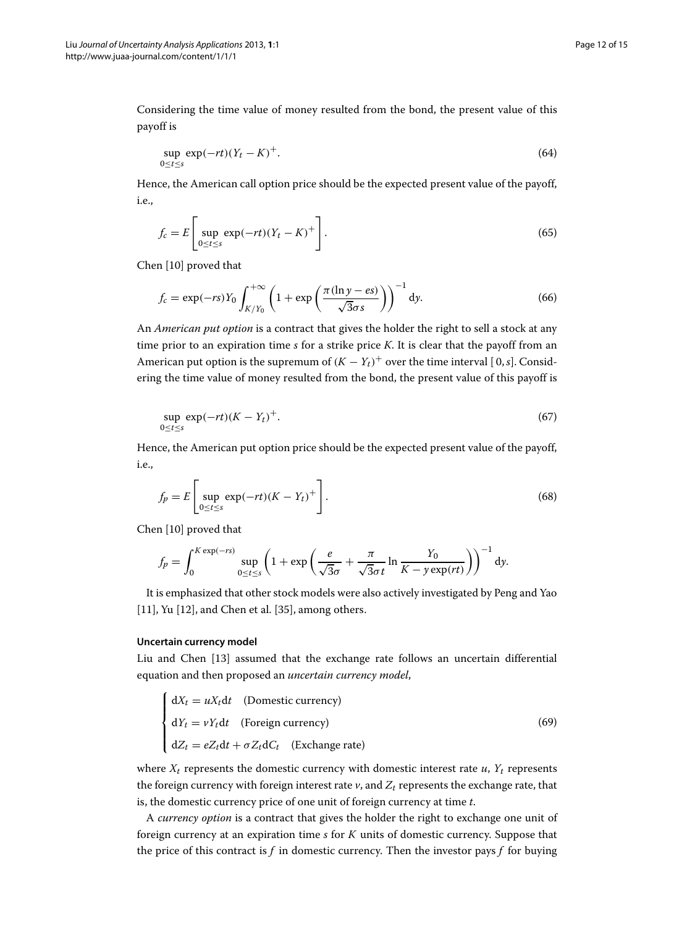Considering the time value of money resulted from the bond, the present value of this payoff is

$$
\sup_{0 \le t \le s} \exp(-rt)(Y_t - K)^+.
$$
\n(64)

Hence, the American call option price should be the expected present value of the payoff, i.e.,

$$
f_c = E \left[ \sup_{0 \le t \le s} \exp(-rt)(Y_t - K)^+ \right].
$$
 (65)

Chen [\[10\]](#page-13-9) proved that

$$
f_c = \exp(-rs)Y_0 \int_{K/Y_0}^{+\infty} \left(1 + \exp\left(\frac{\pi(\ln y - es)}{\sqrt{3}\sigma s}\right)\right)^{-1} dy.
$$
 (66)

An *American put option* is a contract that gives the holder the right to sell a stock at any time prior to an expiration time *s* for a strike price *K*. It is clear that the payoff from an American put option is the supremum of  $(K - Y_t)^+$  over the time interval [0, *s*]. Considering the time value of money resulted from the bond, the present value of this payoff is

$$
\sup_{0 \le t \le s} \exp(-rt)(K - Y_t)^+.
$$
\n(67)

Hence, the American put option price should be the expected present value of the payoff, i.e.,

$$
f_p = E\left[\sup_{0 \le t \le s} \exp(-rt)(K - Y_t)^+\right].
$$
\n(68)

Chen [\[10\]](#page-13-9) proved that

$$
f_p = \int_0^{K \exp(-rs)} \sup_{0 \le t \le s} \left(1 + \exp\left(\frac{e}{\sqrt{3}\sigma} + \frac{\pi}{\sqrt{3}\sigma t} \ln \frac{Y_0}{K - y \exp(rt)}\right)\right)^{-1} dy.
$$

It is emphasized that other stock models were also actively investigated by Peng and Yao [\[11\]](#page-13-10), Yu [\[12\]](#page-13-11), and Chen et al. [\[35\]](#page-14-10), among others.

#### **Uncertain currency model**

Liu and Chen [\[13\]](#page-13-12) assumed that the exchange rate follows an uncertain differential equation and then proposed an *uncertain currency model*,

$$
\begin{cases}\ndX_t = uX_t dt & \text{(Domestic currency)} \\
dY_t = vY_t dt & \text{(Foreign currency)} \\
dZ_t = eZ_t dt + \sigma Z_t dC_t & \text{(Exchange rate)}\n\end{cases}
$$
\n(69)

where  $X_t$  represents the domestic currency with domestic interest rate  $u$ ,  $Y_t$  represents the foreign currency with foreign interest rate  $v$ , and  $Z_t$  represents the exchange rate, that is, the domestic currency price of one unit of foreign currency at time *t*.

A *currency option* is a contract that gives the holder the right to exchange one unit of foreign currency at an expiration time *s* for *K* units of domestic currency. Suppose that the price of this contract is  $f$  in domestic currency. Then the investor pays  $f$  for buying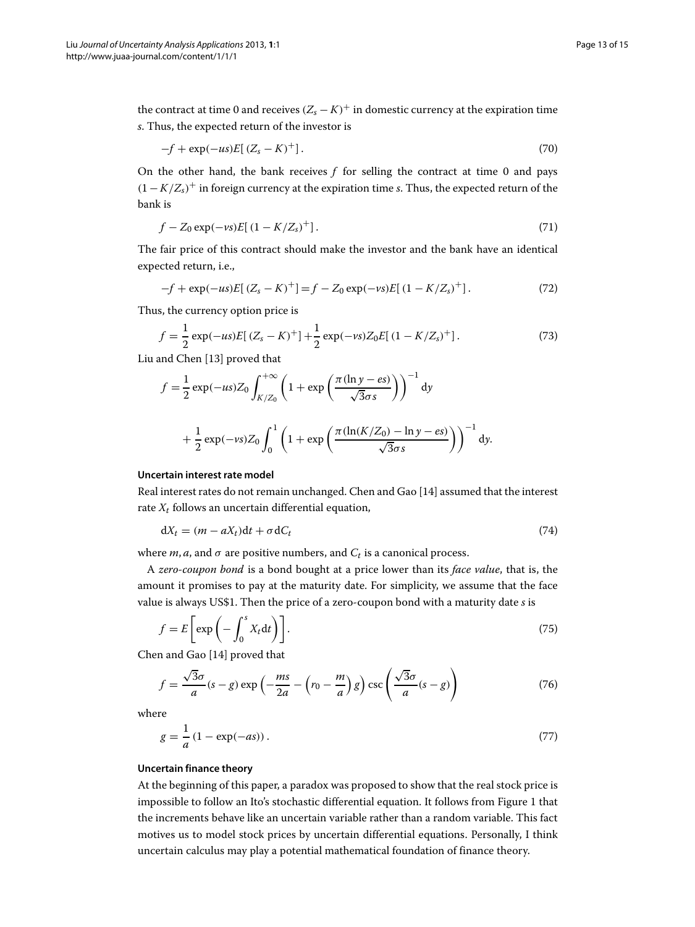the contract at time 0 and receives  $(Z_s - K)^+$  in domestic currency at the expiration time *s*. Thus, the expected return of the investor is

$$
-f + \exp(-us)E[(Z_s - K)^+] \tag{70}
$$

On the other hand, the bank receives *f* for selling the contract at time 0 and pays  $(1 - K/Z<sub>s</sub>)<sup>+</sup>$  in foreign currency at the expiration time *s*. Thus, the expected return of the bank is

$$
f - Z_0 \exp(-\nu s) E[(1 - K/Z_s)^+] \,. \tag{71}
$$

The fair price of this contract should make the investor and the bank have an identical expected return, i.e.,

$$
-f + \exp(-us)E[(Z_s - K)^+] = f - Z_0 \exp(-vs)E[(1 - K/Z_s)^+].
$$
 (72)

Thus, the currency option price is

$$
f = \frac{1}{2} \exp(-us) E[(Z_s - K)^+] + \frac{1}{2} \exp(-vs) Z_0 E[(1 - K/Z_s)^+] \,. \tag{73}
$$

Liu and Chen [\[13\]](#page-13-12) proved that

$$
f = \frac{1}{2} \exp(-us) Z_0 \int_{K/Z_0}^{+\infty} \left(1 + \exp\left(\frac{\pi(\ln y - es)}{\sqrt{3}\sigma s}\right)\right)^{-1} dy
$$
  
+ 
$$
\frac{1}{2} \exp(-vs) Z_0 \int_0^1 \left(1 + \exp\left(\frac{\pi(\ln(K/Z_0) - \ln y - es)}{\sqrt{3}\sigma s}\right)\right)^{-1} dy.
$$

#### **Uncertain interest rate model**

Real interest rates do not remain unchanged. Chen and Gao [\[14\]](#page-13-13) assumed that the interest rate  $X_t$  follows an uncertain differential equation,

$$
dX_t = (m - aX_t)dt + \sigma dC_t
$$
\n(74)

where  $m$ ,  $a$ , and  $\sigma$  are positive numbers, and  $C_t$  is a canonical process.

A *zero-coupon bond* is a bond bought at a price lower than its *face value*, that is, the amount it promises to pay at the maturity date. For simplicity, we assume that the face value is always US\$1. Then the price of a zero-coupon bond with a maturity date *s* is

$$
f = E\left[\exp\left(-\int_0^s X_t dt\right)\right].
$$
 (75)

Chen and Gao [\[14\]](#page-13-13) proved that

$$
f = \frac{\sqrt{3}\sigma}{a}(s-g)\exp\left(-\frac{ms}{2a} - \left(r_0 - \frac{m}{a}\right)g\right)\csc\left(\frac{\sqrt{3}\sigma}{a}(s-g)\right) \tag{76}
$$

where

$$
g = \frac{1}{a} (1 - \exp(-as)).
$$
 (77)

# **Uncertain finance theory**

At the beginning of this paper, a paradox was proposed to show that the real stock price is impossible to follow an Ito's stochastic differential equation. It follows from Figure [1](#page-2-1) that the increments behave like an uncertain variable rather than a random variable. This fact motives us to model stock prices by uncertain differential equations. Personally, I think uncertain calculus may play a potential mathematical foundation of finance theory.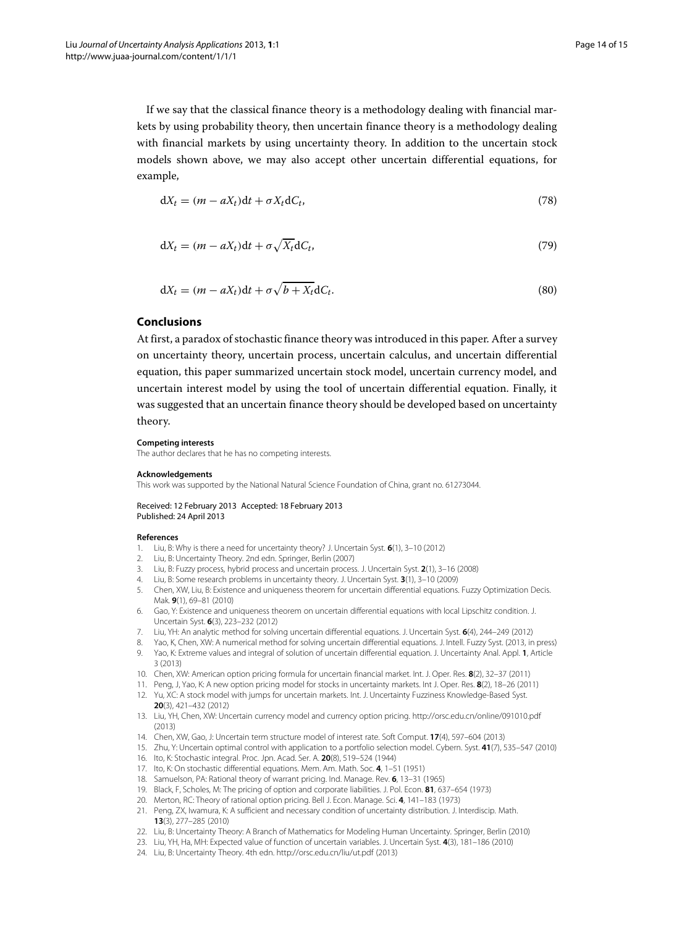If we say that the classical finance theory is a methodology dealing with financial markets by using probability theory, then uncertain finance theory is a methodology dealing with financial markets by using uncertainty theory. In addition to the uncertain stock models shown above, we may also accept other uncertain differential equations, for example,

$$
dX_t = (m - aX_t)dt + \sigma X_t dC_t, \qquad (78)
$$

$$
dX_t = (m - aX_t)dt + \sigma \sqrt{X_t}dC_t,
$$
\n(79)

$$
dX_t = (m - aX_t)dt + \sigma \sqrt{b + X_t}dC_t.
$$
\n(80)

# **Conclusions**

At first, a paradox of stochastic finance theory was introduced in this paper. After a survey on uncertainty theory, uncertain process, uncertain calculus, and uncertain differential equation, this paper summarized uncertain stock model, uncertain currency model, and uncertain interest model by using the tool of uncertain differential equation. Finally, it was suggested that an uncertain finance theory should be developed based on uncertainty theory.

#### **Competing interests**

The author declares that he has no competing interests.

#### **Acknowledgements**

This work was supported by the National Natural Science Foundation of China, grant no. 61273044.

#### Received: 12 February 2013 Accepted: 18 February 2013 Published: 24 April 2013

#### **References**

- <span id="page-13-0"></span>1. Liu, B: Why is there a need for uncertainty theory? J. Uncertain Syst. **6**(1), 3–10 (2012)
- <span id="page-13-1"></span>2. Liu, B: Uncertainty Theory. 2nd edn. Springer, Berlin (2007)
- <span id="page-13-2"></span>3. Liu, B: Fuzzy process, hybrid process and uncertain process. J. Uncertain Syst. **2**(1), 3–16 (2008)
- <span id="page-13-3"></span>4. Liu, B: Some research problems in uncertainty theory. J. Uncertain Syst. **3**(1), 3–10 (2009)
- <span id="page-13-4"></span>5. Chen, XW, Liu, B: Existence and uniqueness theorem for uncertain differential equations. Fuzzy Optimization Decis. Mak. **9**(1), 69–81 (2010)
- <span id="page-13-5"></span>6. Gao, Y: Existence and uniqueness theorem on uncertain differential equations with local Lipschitz condition. J. Uncertain Syst. **6**(3), 223–232 (2012)
- <span id="page-13-6"></span>7. Liu, YH: An analytic method for solving uncertain differential equations. J. Uncertain Syst. **6**(4), 244–249 (2012)
- <span id="page-13-8"></span><span id="page-13-7"></span>8. Yao, K, Chen, XW: A numerical method for solving uncertain differential equations. J. Intell. Fuzzy Syst. (2013, in press) 9. Yao, K: Extreme values and integral of solution of uncertain differential equation. J. Uncertainty Anal. Appl. **1**, Article 3 (2013)
- <span id="page-13-9"></span>10. Chen, XW: American option pricing formula for uncertain financial market. Int. J. Oper. Res. **8**(2), 32–37 (2011)
- <span id="page-13-10"></span>11. Peng, J, Yao, K: A new option pricing model for stocks in uncertainty markets. Int J. Oper. Res. **8**(2), 18–26 (2011)
- <span id="page-13-11"></span>12. Yu, XC: A stock model with jumps for uncertain markets. Int. J. Uncertainty Fuzziness Knowledge-Based Syst. **20**(3), 421–432 (2012)
- <span id="page-13-12"></span>13. Liu, YH, Chen, XW: Uncertain currency model and currency option pricing.<http://orsc.edu.cn/online/091010.pdf> (2013)
- <span id="page-13-13"></span>14. Chen, XW, Gao, J: Uncertain term structure model of interest rate. Soft Comput. **17**(4), 597–604 (2013)
- <span id="page-13-14"></span>15. Zhu, Y: Uncertain optimal control with application to a portfolio selection model. Cybern. Syst. **41**(7), 535–547 (2010)
- <span id="page-13-15"></span>16. Ito, K: Stochastic integral. Proc. Jpn. Acad. Ser. A. **20**(8), 519–524 (1944)
- <span id="page-13-16"></span>17. Ito, K: On stochastic differential equations. Mem. Am. Math. Soc. **4**, 1–51 (1951)
- <span id="page-13-17"></span>18. Samuelson, PA: Rational theory of warrant pricing. Ind. Manage. Rev. **6**, 13–31 (1965)
- <span id="page-13-18"></span>19. Black, F, Scholes, M: The pricing of option and corporate liabilities. J. Pol. Econ. **81**, 637–654 (1973) 20. Merton, RC: Theory of rational option pricing. Bell J. Econ. Manage. Sci. **4**, 141–183 (1973)
- <span id="page-13-20"></span><span id="page-13-19"></span>21. Peng, ZX, Iwamura, K: A sufficient and necessary condition of uncertainty distribution. J. Interdiscip. Math. **13**(3), 277–285 (2010)
- 22. Liu, B: Uncertainty Theory: A Branch of Mathematics for Modeling Human Uncertainty. Springer, Berlin (2010)
- <span id="page-13-21"></span>23. Liu, YH, Ha, MH: Expected value of function of uncertain variables. J. Uncertain Syst. **4**(3), 181–186 (2010)
- <span id="page-13-23"></span><span id="page-13-22"></span>24. Liu, B: Uncertainty Theory. 4th edn.<http://orsc.edu.cn/liu/ut.pdf> (2013)